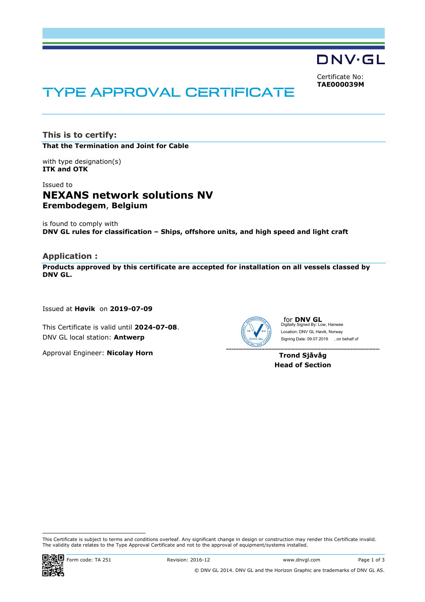DNV·GL

Certificate No: **TAE000039M**

# TYPE APPROVAL CERTIFICATE

**This is to certify: That the Termination and Joint for Cable**

with type designation(s) **ITK and OTK**

# Issued to **NEXANS network solutions NV Erembodegem**, **Belgium**

is found to comply with **DNV GL rules for classification – Ships, offshore units, and high speed and light craft**

#### **Application :**

**Products approved by this certificate are accepted for installation on all vessels classed by DNV GL.** 

Issued at **Høvik** on **2019-07-09**

This Certificate is valid until **2024-07-08**. DNV GL local station: **Antwerp**

Approval Engineer: **Nicolay Horn**



for **DNV GL** Digitally Signed By: Low, Hanwee Signing Date: 09.07.2019 , on behalf ofLocation: DNV GL Høvik, Norway

**Trond Sjåvåg Head of Section**

 This Certificate is subject to terms and conditions overleaf. Any significant change in design or construction may render this Certificate invalid. The validity date relates to the Type Approval Certificate and not to the approval of equipment/systems installed.

. . . . . . . . . . . . . . . . .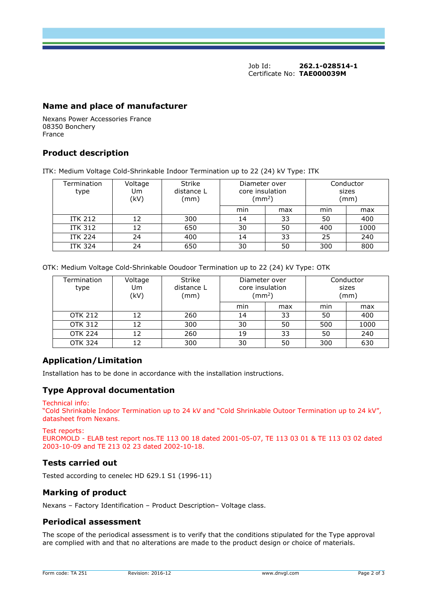Job Id: **262.1-028514-1** Certificate No: **TAE000039M**

### **Name and place of manufacturer**

Nexans Power Accessories France 08350 Bonchery France

## **Product description**

ITK: Medium Voltage Cold-Shrinkable Indoor Termination up to 22 (24) kV Type: ITK

| Termination<br>type | Voltage<br>U <sub>m</sub><br>(kV) | Strike<br>distance L<br>(mm) | Diameter over<br>core insulation<br>$\text{ (mm}^2\text{)}$ |     |     | Conductor<br>sizes<br>(mm) |
|---------------------|-----------------------------------|------------------------------|-------------------------------------------------------------|-----|-----|----------------------------|
|                     |                                   |                              | min                                                         | max | min | max                        |
| <b>ITK 212</b>      | 12                                | 300                          | 14                                                          | 33  | 50  | 400                        |
| <b>ITK 312</b>      | 12                                | 650                          | 30                                                          | 50  | 400 | 1000                       |
| <b>ITK 224</b>      | 24                                | 400                          | 14                                                          | 33  | 25  | 240                        |
| <b>ITK 324</b>      | 24                                | 650                          | 30                                                          | 50  | 300 | 800                        |

OTK: Medium Voltage Cold-Shrinkable Ooudoor Termination up to 22 (24) kV Type: OTK

| Termination<br>type | Voltage<br>U <sub>m</sub><br>(kV) | <b>Strike</b><br>distance L<br>(mm) | Diameter over<br>core insulation<br>$\text{ (mm}^2\text{)}$ |     | Conductor<br>sizes<br>(mm) |      |
|---------------------|-----------------------------------|-------------------------------------|-------------------------------------------------------------|-----|----------------------------|------|
|                     |                                   |                                     | min                                                         | max | min                        | max  |
| <b>OTK 212</b>      | 12                                | 260                                 | 14                                                          | 33  | 50                         | 400  |
| <b>OTK 312</b>      | 12                                | 300                                 | 30                                                          | 50  | 500                        | 1000 |
| <b>OTK 224</b>      | 12                                | 260                                 | 19                                                          | 33  | 50                         | 240  |
| <b>OTK 324</b>      |                                   | 300                                 | 30                                                          | 50  | 300                        | 630  |

# **Application/Limitation**

Installation has to be done in accordance with the installation instructions.

#### **Type Approval documentation**

Technical info:

"Cold Shrinkable Indoor Termination up to 24 kV and "Cold Shrinkable Outoor Termination up to 24 kV", datasheet from Nexans.

Test reports:

EUROMOLD - ELAB test report nos.TE 113 00 18 dated 2001-05-07, TE 113 03 01 & TE 113 03 02 dated 2003-10-09 and TE 213 02 23 dated 2002-10-18.

# **Tests carried out**

Tested according to cenelec HD 629.1 S1 (1996-11)

# **Marking of product**

Nexans – Factory Identification – Product Description– Voltage class.

#### **Periodical assessment**

The scope of the periodical assessment is to verify that the conditions stipulated for the Type approval are complied with and that no alterations are made to the product design or choice of materials.